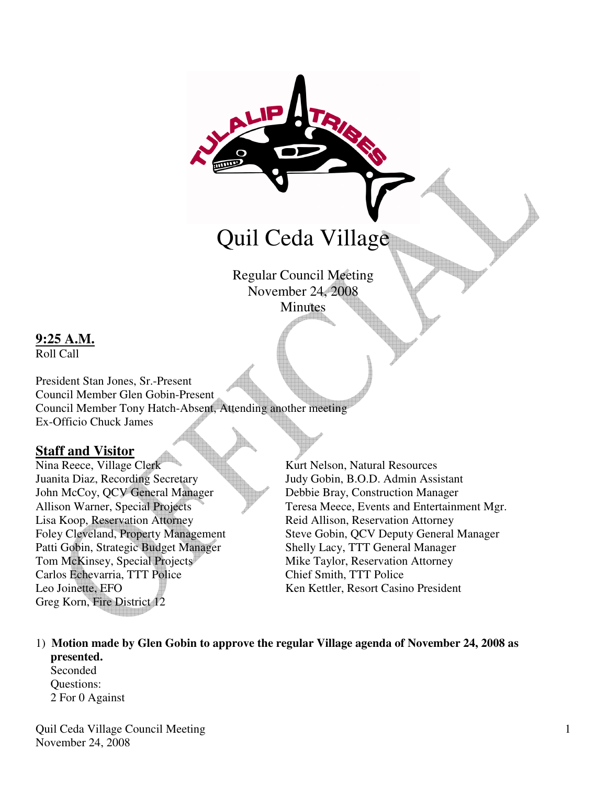# Quil Ceda Village

Regular Council Meeting November 24, 2008 **Minutes** 

## **9:25 A.M.**

Roll Call

President Stan Jones, Sr.-Present Council Member Glen Gobin-Present Council Member Tony Hatch-Absent, Attending another meeting Ex-Officio Chuck James

#### **Staff and Visitor**

Nina Reece, Village Clerk Kurt Nelson, Natural Resources Juanita Diaz, Recording Secretary Judy Gobin, B.O.D. Admin Assistant John McCoy, QCV General Manager Debbie Bray, Construction Manager Lisa Koop, Reservation Attorney Reid Allison, Reservation Attorney Patti Gobin, Strategic Budget Manager Shelly Lacy, TTT General Manager Tom McKinsey, Special Projects Mike Taylor, Reservation Attorney Carlos Echevarria, TTT Police Chief Smith, TTT Police Leo Joinette, EFO **Ken Kettler, Resort Casino President** Greg Korn, Fire District 12

Allison Warner, Special Projects Teresa Meece, Events and Entertainment Mgr. Foley Cleveland, Property Management Steve Gobin, QCV Deputy General Manager

1) **Motion made by Glen Gobin to approve the regular Village agenda of November 24, 2008 as presented.** 

 Seconded Questions: 2 For 0 Against

Quil Ceda Village Council Meeting November 24, 2008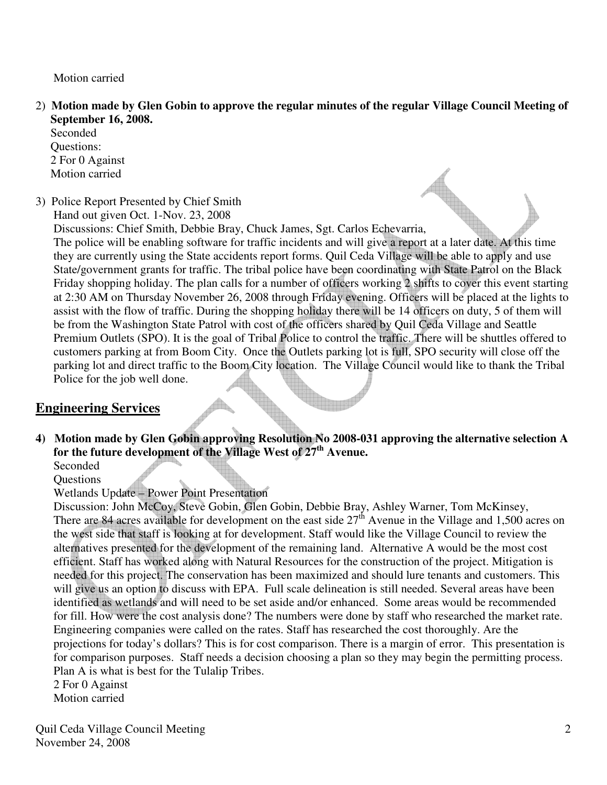Motion carried

2) **Motion made by Glen Gobin to approve the regular minutes of the regular Village Council Meeting of September 16, 2008.** 

 Seconded Questions: 2 For 0 Against Motion carried

3) Police Report Presented by Chief Smith

Hand out given Oct. 1-Nov. 23, 2008

Discussions: Chief Smith, Debbie Bray, Chuck James, Sgt. Carlos Echevarria, The police will be enabling software for traffic incidents and will give a report at a later date. At this time they are currently using the State accidents report forms. Quil Ceda Village will be able to apply and use State/government grants for traffic. The tribal police have been coordinating with State Patrol on the Black Friday shopping holiday. The plan calls for a number of officers working 2 shifts to cover this event starting at 2:30 AM on Thursday November 26, 2008 through Friday evening. Officers will be placed at the lights to assist with the flow of traffic. During the shopping holiday there will be 14 officers on duty, 5 of them will be from the Washington State Patrol with cost of the officers shared by Quil Ceda Village and Seattle Premium Outlets (SPO). It is the goal of Tribal Police to control the traffic. There will be shuttles offered to customers parking at from Boom City. Once the Outlets parking lot is full, SPO security will close off the parking lot and direct traffic to the Boom City location. The Village Council would like to thank the Tribal Police for the job well done.

## **Engineering Services**

**4) Motion made by Glen Gobin approving Resolution No 2008-031 approving the alternative selection A for the future development of the Village West of 27th Avenue.** 

Seconded **Ouestions** 

## Wetlands Update – Power Point Presentation

Discussion: John McCoy, Steve Gobin, Glen Gobin, Debbie Bray, Ashley Warner, Tom McKinsey, There are 84 acres available for development on the east side  $27<sup>th</sup>$  Avenue in the Village and 1,500 acres on the west side that staff is looking at for development. Staff would like the Village Council to review the alternatives presented for the development of the remaining land. Alternative A would be the most cost efficient. Staff has worked along with Natural Resources for the construction of the project. Mitigation is needed for this project. The conservation has been maximized and should lure tenants and customers. This will give us an option to discuss with EPA. Full scale delineation is still needed. Several areas have been identified as wetlands and will need to be set aside and/or enhanced. Some areas would be recommended for fill. How were the cost analysis done? The numbers were done by staff who researched the market rate. Engineering companies were called on the rates. Staff has researched the cost thoroughly. Are the projections for today's dollars? This is for cost comparison. There is a margin of error. This presentation is for comparison purposes. Staff needs a decision choosing a plan so they may begin the permitting process. Plan A is what is best for the Tulalip Tribes.

2 For 0 Against

Motion carried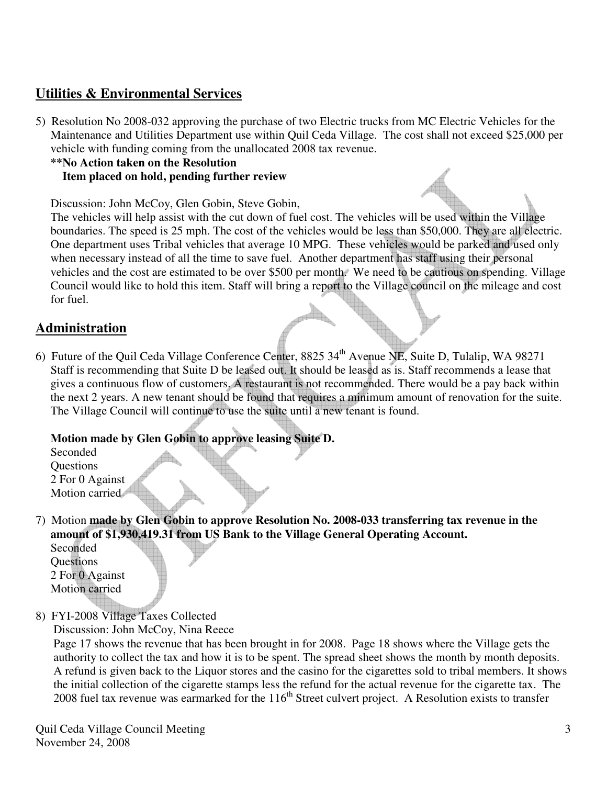## **Utilities & Environmental Services**

5) Resolution No 2008-032 approving the purchase of two Electric trucks from MC Electric Vehicles for the Maintenance and Utilities Department use within Quil Ceda Village. The cost shall not exceed \$25,000 per vehicle with funding coming from the unallocated 2008 tax revenue.

#### **\*\*No Action taken on the Resolution Item placed on hold, pending further review**

Discussion: John McCoy, Glen Gobin, Steve Gobin,

 The vehicles will help assist with the cut down of fuel cost. The vehicles will be used within the Village boundaries. The speed is 25 mph. The cost of the vehicles would be less than \$50,000. They are all electric. One department uses Tribal vehicles that average 10 MPG. These vehicles would be parked and used only when necessary instead of all the time to save fuel. Another department has staff using their personal vehicles and the cost are estimated to be over \$500 per month. We need to be cautious on spending. Village Council would like to hold this item. Staff will bring a report to the Village council on the mileage and cost for fuel.

## **Administration**

6) Future of the Quil Ceda Village Conference Center, 8825 34th Avenue NE, Suite D, Tulalip, WA 98271 Staff is recommending that Suite D be leased out. It should be leased as is. Staff recommends a lease that gives a continuous flow of customers. A restaurant is not recommended. There would be a pay back within the next 2 years. A new tenant should be found that requires a minimum amount of renovation for the suite. The Village Council will continue to use the suite until a new tenant is found.

#### **Motion made by Glen Gobin to approve leasing Suite D.**

 Seconded **Ouestions**  2 For 0 Against Motion carried

7) Motion **made by Glen Gobin to approve Resolution No. 2008-033 transferring tax revenue in the amount of \$1,930,419.31 from US Bank to the Village General Operating Account.** 

 Seconded **Ouestions**  2 For 0 Against Motion carried

8) FYI-2008 Village Taxes Collected

Discussion: John McCoy, Nina Reece

 Page 17 shows the revenue that has been brought in for 2008. Page 18 shows where the Village gets the authority to collect the tax and how it is to be spent. The spread sheet shows the month by month deposits. A refund is given back to the Liquor stores and the casino for the cigarettes sold to tribal members. It shows the initial collection of the cigarette stamps less the refund for the actual revenue for the cigarette tax. The  $2008$  fuel tax revenue was earmarked for the  $116<sup>th</sup>$  Street culvert project. A Resolution exists to transfer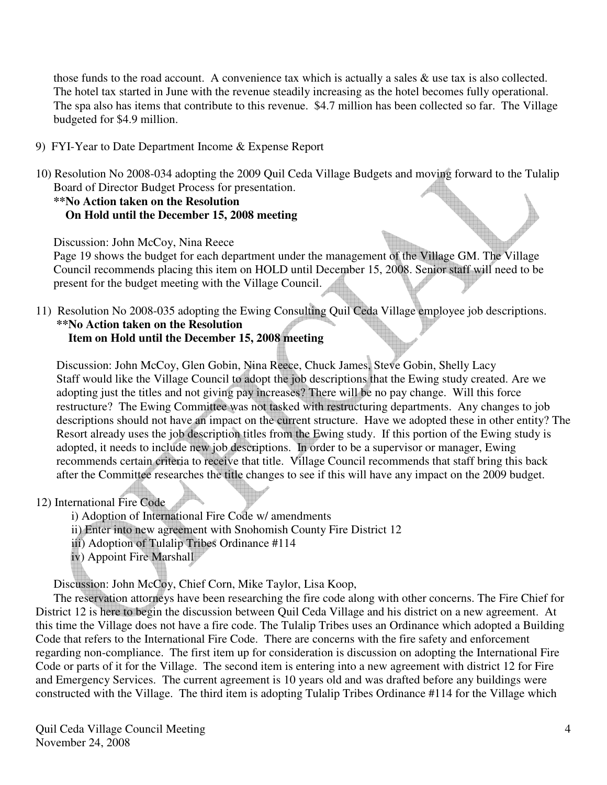those funds to the road account. A convenience tax which is actually a sales & use tax is also collected. The hotel tax started in June with the revenue steadily increasing as the hotel becomes fully operational. The spa also has items that contribute to this revenue. \$4.7 million has been collected so far. The Village budgeted for \$4.9 million.

- 9) FYI-Year to Date Department Income & Expense Report
- 10) Resolution No 2008-034 adopting the 2009 Quil Ceda Village Budgets and moving forward to the Tulalip Board of Director Budget Process for presentation.

### **\*\*No Action taken on the Resolution On Hold until the December 15, 2008 meeting**

Discussion: John McCoy, Nina Reece

 Page 19 shows the budget for each department under the management of the Village GM. The Village Council recommends placing this item on HOLD until December 15, 2008. Senior staff will need to be present for the budget meeting with the Village Council.

11) Resolution No 2008-035 adopting the Ewing Consulting Quil Ceda Village employee job descriptions. **\*\*No Action taken on the Resolution Item on Hold until the December 15, 2008 meeting** 

#### Discussion: John McCoy, Glen Gobin, Nina Reece, Chuck James, Steve Gobin, Shelly Lacy Staff would like the Village Council to adopt the job descriptions that the Ewing study created. Are we adopting just the titles and not giving pay increases? There will be no pay change. Will this force restructure? The Ewing Committee was not tasked with restructuring departments. Any changes to job descriptions should not have an impact on the current structure. Have we adopted these in other entity? The Resort already uses the job description titles from the Ewing study. If this portion of the Ewing study is adopted, it needs to include new job descriptions. In order to be a supervisor or manager, Ewing recommends certain criteria to receive that title. Village Council recommends that staff bring this back after the Committee researches the title changes to see if this will have any impact on the 2009 budget.

12) International Fire Code

i) Adoption of International Fire Code w/ amendments

ii) Enter into new agreement with Snohomish County Fire District 12

- iii) Adoption of Tulalip Tribes Ordinance #114
- iv) Appoint Fire Marshall

Discussion: John McCoy, Chief Corn, Mike Taylor, Lisa Koop,

 The reservation attorneys have been researching the fire code along with other concerns. The Fire Chief for District 12 is here to begin the discussion between Quil Ceda Village and his district on a new agreement. At this time the Village does not have a fire code. The Tulalip Tribes uses an Ordinance which adopted a Building Code that refers to the International Fire Code. There are concerns with the fire safety and enforcement regarding non-compliance. The first item up for consideration is discussion on adopting the International Fire Code or parts of it for the Village. The second item is entering into a new agreement with district 12 for Fire and Emergency Services. The current agreement is 10 years old and was drafted before any buildings were constructed with the Village. The third item is adopting Tulalip Tribes Ordinance #114 for the Village which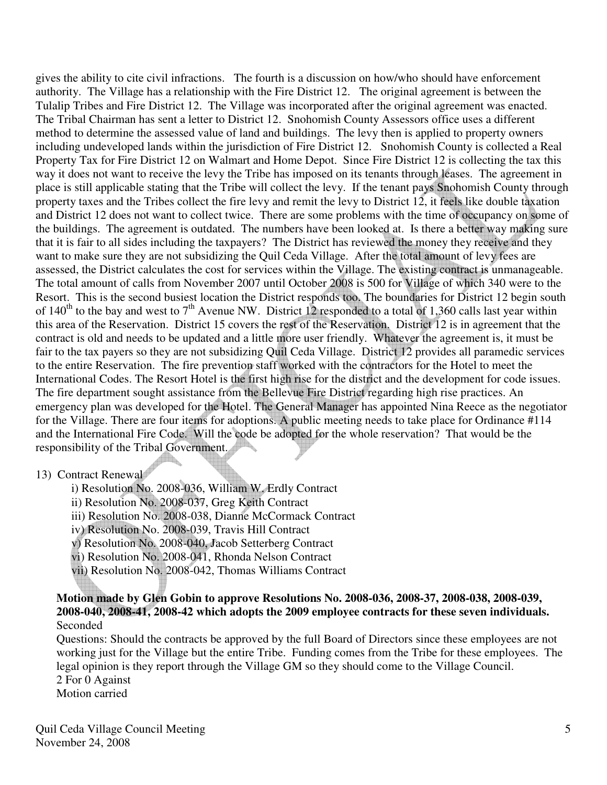gives the ability to cite civil infractions. The fourth is a discussion on how/who should have enforcement authority. The Village has a relationship with the Fire District 12. The original agreement is between the Tulalip Tribes and Fire District 12. The Village was incorporated after the original agreement was enacted. The Tribal Chairman has sent a letter to District 12. Snohomish County Assessors office uses a different method to determine the assessed value of land and buildings. The levy then is applied to property owners including undeveloped lands within the jurisdiction of Fire District 12. Snohomish County is collected a Real Property Tax for Fire District 12 on Walmart and Home Depot. Since Fire District 12 is collecting the tax this way it does not want to receive the levy the Tribe has imposed on its tenants through leases. The agreement in place is still applicable stating that the Tribe will collect the levy. If the tenant pays Snohomish County through property taxes and the Tribes collect the fire levy and remit the levy to District 12, it feels like double taxation and District 12 does not want to collect twice. There are some problems with the time of occupancy on some of the buildings. The agreement is outdated. The numbers have been looked at. Is there a better way making sure that it is fair to all sides including the taxpayers? The District has reviewed the money they receive and they want to make sure they are not subsidizing the Quil Ceda Village. After the total amount of levy fees are assessed, the District calculates the cost for services within the Village. The existing contract is unmanageable. The total amount of calls from November 2007 until October 2008 is 500 for Village of which 340 were to the Resort. This is the second busiest location the District responds too. The boundaries for District 12 begin south of  $140^{\text{th}}$  to the bay and west to  $7^{\text{th}}$  Avenue NW. District 12 responded to a total of 1,360 calls last year within this area of the Reservation. District 15 covers the rest of the Reservation. District 12 is in agreement that the contract is old and needs to be updated and a little more user friendly. Whatever the agreement is, it must be fair to the tax payers so they are not subsidizing Quil Ceda Village. District 12 provides all paramedic services to the entire Reservation. The fire prevention staff worked with the contractors for the Hotel to meet the International Codes. The Resort Hotel is the first high rise for the district and the development for code issues. The fire department sought assistance from the Bellevue Fire District regarding high rise practices. An emergency plan was developed for the Hotel. The General Manager has appointed Nina Reece as the negotiator for the Village. There are four items for adoptions. A public meeting needs to take place for Ordinance #114 and the International Fire Code. Will the code be adopted for the whole reservation? That would be the responsibility of the Tribal Government.

#### 13) Contract Renewal

i) Resolution No. 2008-036, William W. Erdly Contract

ii) Resolution No. 2008-037, Greg Keith Contract

iii) Resolution No. 2008-038, Dianne McCormack Contract

iv) Resolution No. 2008-039, Travis Hill Contract

v) Resolution No. 2008-040, Jacob Setterberg Contract

vi) Resolution No. 2008-041, Rhonda Nelson Contract

vii) Resolution No. 2008-042, Thomas Williams Contract

 **Motion made by Glen Gobin to approve Resolutions No. 2008-036, 2008-37, 2008-038, 2008-039, 2008-040, 2008-41, 2008-42 which adopts the 2009 employee contracts for these seven individuals.**  Seconded

 Questions: Should the contracts be approved by the full Board of Directors since these employees are not working just for the Village but the entire Tribe. Funding comes from the Tribe for these employees. The legal opinion is they report through the Village GM so they should come to the Village Council. 2 For 0 Against

Motion carried